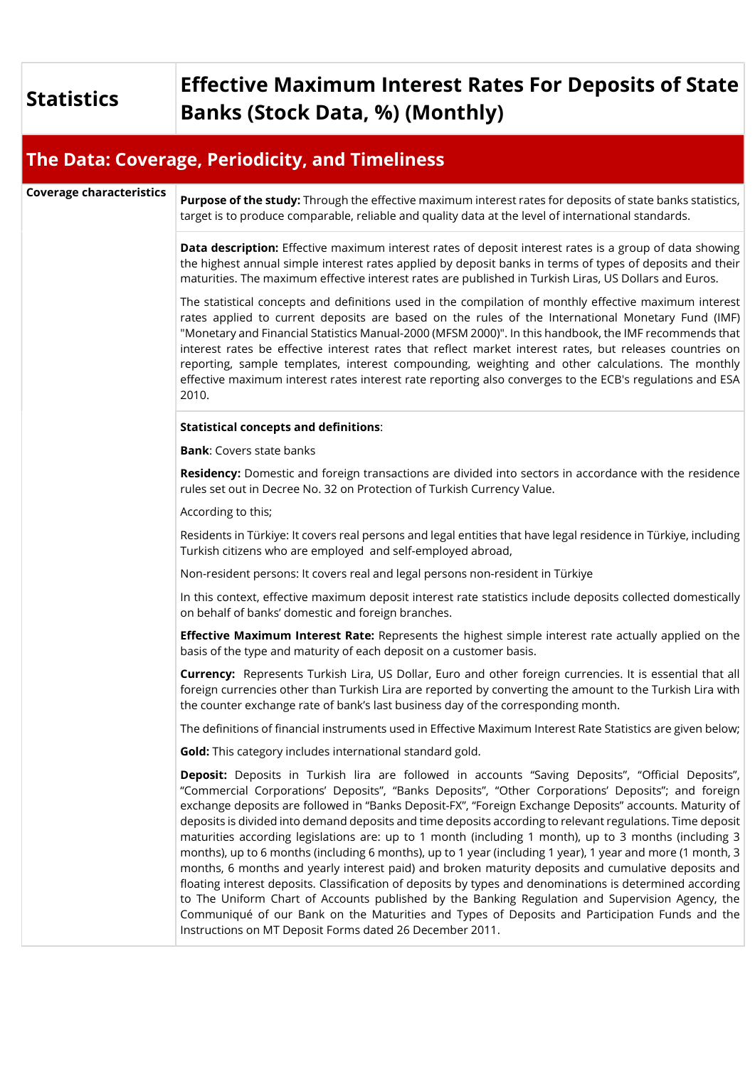## Statistics Effective Maximum Interest Rates For Deposits of State Banks (Stock Data, %) (Monthly)

## The Data: Coverage, Periodicity, and Timeliness

Coverage characteristics **Purpose of the study:** Through the effective maximum interest rates for deposits of state banks statistics, target is to produce comparable, reliable and quality data at the level of international standards.

> Data description: Effective maximum interest rates of deposit interest rates is a group of data showing the highest annual simple interest rates applied by deposit banks in terms of types of deposits and their maturities. The maximum effective interest rates are published in Turkish Liras, US Dollars and Euros.

> The statistical concepts and definitions used in the compilation of monthly effective maximum interest rates applied to current deposits are based on the rules of the International Monetary Fund (IMF) "Monetary and Financial Statistics Manual-2000 (MFSM 2000)". In this handbook, the IMF recommends that interest rates be effective interest rates that reflect market interest rates, but releases countries on reporting, sample templates, interest compounding, weighting and other calculations. The monthly effective maximum interest rates interest rate reporting also converges to the ECB's regulations and ESA 2010.

## Statistical concepts and definitions:

Bank: Covers state banks

Residency: Domestic and foreign transactions are divided into sectors in accordance with the residence rules set out in Decree No. 32 on Protection of Turkish Currency Value.

According to this;

Residents in Türkiye: It covers real persons and legal entities that have legal residence in Türkiye, including Turkish citizens who are employed and self-employed abroad,

Non-resident persons: It covers real and legal persons non-resident in Türkiye

In this context, effective maximum deposit interest rate statistics include deposits collected domestically on behalf of banks' domestic and foreign branches.

**Effective Maximum Interest Rate:** Represents the highest simple interest rate actually applied on the basis of the type and maturity of each deposit on a customer basis.

Currency: Represents Turkish Lira, US Dollar, Euro and other foreign currencies. It is essential that all foreign currencies other than Turkish Lira are reported by converting the amount to the Turkish Lira with the counter exchange rate of bank's last business day of the corresponding month.

The definitions of financial instruments used in Effective Maximum Interest Rate Statistics are given below;

Gold: This category includes international standard gold.

Deposit: Deposits in Turkish lira are followed in accounts "Saving Deposits", "Official Deposits", "Commercial Corporations' Deposits", "Banks Deposits", "Other Corporations' Deposits"; and foreign exchange deposits are followed in "Banks Deposit-FX", "Foreign Exchange Deposits" accounts. Maturity of deposits is divided into demand deposits and time deposits according to relevant regulations. Time deposit maturities according legislations are: up to 1 month (including 1 month), up to 3 months (including 3 months), up to 6 months (including 6 months), up to 1 year (including 1 year), 1 year and more (1 month, 3 months, 6 months and yearly interest paid) and broken maturity deposits and cumulative deposits and floating interest deposits. Classification of deposits by types and denominations is determined according to The Uniform Chart of Accounts published by the Banking Regulation and Supervision Agency, the Communiqué of our Bank on the Maturities and Types of Deposits and Participation Funds and the Instructions on MT Deposit Forms dated 26 December 2011.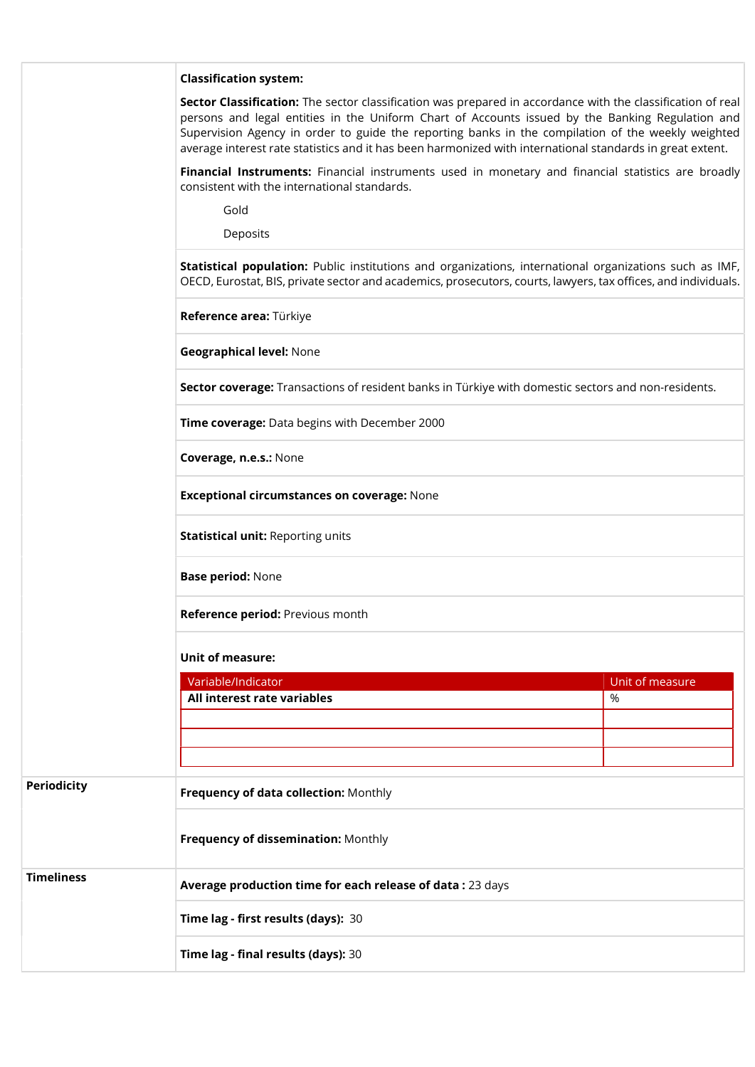|                    | <b>Classification system:</b>                                                                                                                                                                                                                                                                                                                                                                                                      |                 |  |
|--------------------|------------------------------------------------------------------------------------------------------------------------------------------------------------------------------------------------------------------------------------------------------------------------------------------------------------------------------------------------------------------------------------------------------------------------------------|-----------------|--|
|                    | Sector Classification: The sector classification was prepared in accordance with the classification of real<br>persons and legal entities in the Uniform Chart of Accounts issued by the Banking Regulation and<br>Supervision Agency in order to guide the reporting banks in the compilation of the weekly weighted<br>average interest rate statistics and it has been harmonized with international standards in great extent. |                 |  |
|                    | Financial Instruments: Financial instruments used in monetary and financial statistics are broadly<br>consistent with the international standards.                                                                                                                                                                                                                                                                                 |                 |  |
|                    | Gold                                                                                                                                                                                                                                                                                                                                                                                                                               |                 |  |
|                    | Deposits                                                                                                                                                                                                                                                                                                                                                                                                                           |                 |  |
|                    | Statistical population: Public institutions and organizations, international organizations such as IMF,<br>OECD, Eurostat, BIS, private sector and academics, prosecutors, courts, lawyers, tax offices, and individuals.                                                                                                                                                                                                          |                 |  |
|                    | Reference area: Türkiye                                                                                                                                                                                                                                                                                                                                                                                                            |                 |  |
|                    | <b>Geographical level: None</b>                                                                                                                                                                                                                                                                                                                                                                                                    |                 |  |
|                    | Sector coverage: Transactions of resident banks in Türkiye with domestic sectors and non-residents.                                                                                                                                                                                                                                                                                                                                |                 |  |
|                    | Time coverage: Data begins with December 2000                                                                                                                                                                                                                                                                                                                                                                                      |                 |  |
|                    | Coverage, n.e.s.: None                                                                                                                                                                                                                                                                                                                                                                                                             |                 |  |
|                    | <b>Exceptional circumstances on coverage: None</b>                                                                                                                                                                                                                                                                                                                                                                                 |                 |  |
|                    | <b>Statistical unit: Reporting units</b>                                                                                                                                                                                                                                                                                                                                                                                           |                 |  |
|                    | <b>Base period: None</b>                                                                                                                                                                                                                                                                                                                                                                                                           |                 |  |
|                    | Reference period: Previous month                                                                                                                                                                                                                                                                                                                                                                                                   |                 |  |
|                    | <b>Unit of measure:</b>                                                                                                                                                                                                                                                                                                                                                                                                            |                 |  |
|                    | Variable/Indicator                                                                                                                                                                                                                                                                                                                                                                                                                 | Unit of measure |  |
|                    | All interest rate variables                                                                                                                                                                                                                                                                                                                                                                                                        | %               |  |
|                    |                                                                                                                                                                                                                                                                                                                                                                                                                                    |                 |  |
|                    |                                                                                                                                                                                                                                                                                                                                                                                                                                    |                 |  |
| <b>Periodicity</b> |                                                                                                                                                                                                                                                                                                                                                                                                                                    |                 |  |
|                    | Frequency of data collection: Monthly                                                                                                                                                                                                                                                                                                                                                                                              |                 |  |
|                    | Frequency of dissemination: Monthly                                                                                                                                                                                                                                                                                                                                                                                                |                 |  |
| <b>Timeliness</b>  | Average production time for each release of data: 23 days                                                                                                                                                                                                                                                                                                                                                                          |                 |  |
|                    | Time lag - first results (days): 30                                                                                                                                                                                                                                                                                                                                                                                                |                 |  |
|                    | Time lag - final results (days): 30                                                                                                                                                                                                                                                                                                                                                                                                |                 |  |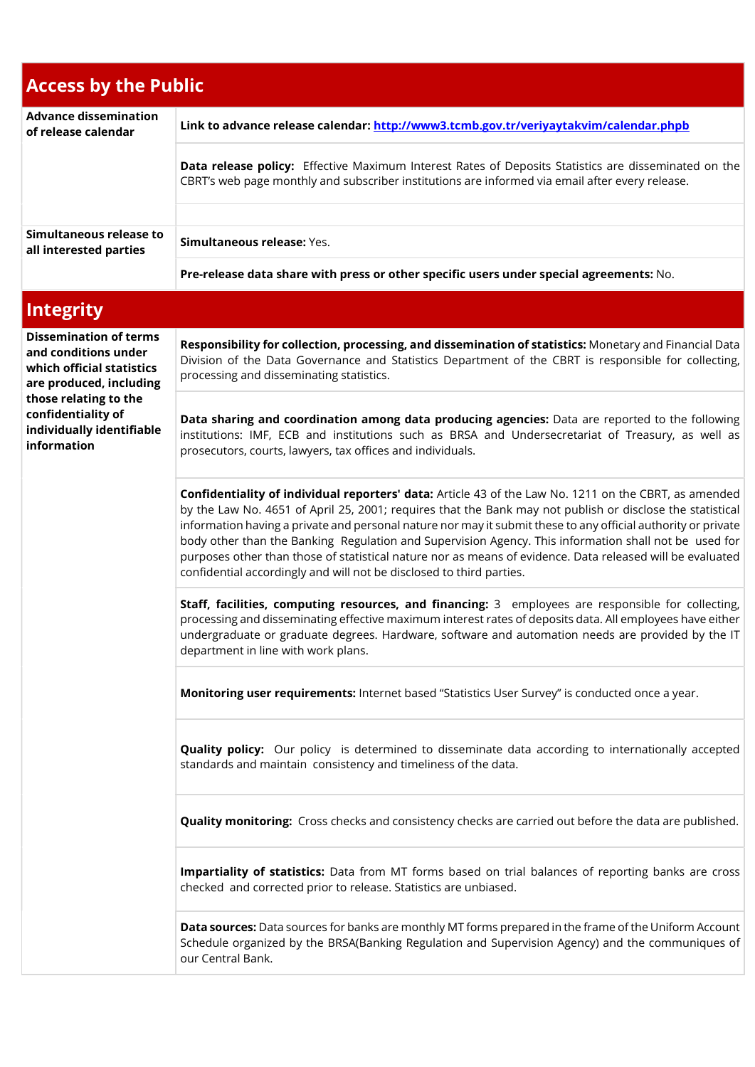| <b>Access by the Public</b>                                                                                                                                                                              |                                                                                                                                                                                                                                                                                                                                                                                                                                                                                                                                                                                                                                   |  |
|----------------------------------------------------------------------------------------------------------------------------------------------------------------------------------------------------------|-----------------------------------------------------------------------------------------------------------------------------------------------------------------------------------------------------------------------------------------------------------------------------------------------------------------------------------------------------------------------------------------------------------------------------------------------------------------------------------------------------------------------------------------------------------------------------------------------------------------------------------|--|
| <b>Advance dissemination</b><br>of release calendar                                                                                                                                                      | Link to advance release calendar: http://www3.tcmb.gov.tr/veriyaytakvim/calendar.phpb                                                                                                                                                                                                                                                                                                                                                                                                                                                                                                                                             |  |
|                                                                                                                                                                                                          | Data release policy: Effective Maximum Interest Rates of Deposits Statistics are disseminated on the<br>CBRT's web page monthly and subscriber institutions are informed via email after every release.                                                                                                                                                                                                                                                                                                                                                                                                                           |  |
|                                                                                                                                                                                                          |                                                                                                                                                                                                                                                                                                                                                                                                                                                                                                                                                                                                                                   |  |
| Simultaneous release to<br>all interested parties                                                                                                                                                        | Simultaneous release: Yes.                                                                                                                                                                                                                                                                                                                                                                                                                                                                                                                                                                                                        |  |
|                                                                                                                                                                                                          | Pre-release data share with press or other specific users under special agreements: No.                                                                                                                                                                                                                                                                                                                                                                                                                                                                                                                                           |  |
| <b>Integrity</b>                                                                                                                                                                                         |                                                                                                                                                                                                                                                                                                                                                                                                                                                                                                                                                                                                                                   |  |
| <b>Dissemination of terms</b><br>and conditions under<br>which official statistics<br>are produced, including<br>those relating to the<br>confidentiality of<br>individually identifiable<br>information | Responsibility for collection, processing, and dissemination of statistics: Monetary and Financial Data<br>Division of the Data Governance and Statistics Department of the CBRT is responsible for collecting,<br>processing and disseminating statistics.                                                                                                                                                                                                                                                                                                                                                                       |  |
|                                                                                                                                                                                                          | Data sharing and coordination among data producing agencies: Data are reported to the following<br>institutions: IMF, ECB and institutions such as BRSA and Undersecretariat of Treasury, as well as<br>prosecutors, courts, lawyers, tax offices and individuals.                                                                                                                                                                                                                                                                                                                                                                |  |
|                                                                                                                                                                                                          | Confidentiality of individual reporters' data: Article 43 of the Law No. 1211 on the CBRT, as amended<br>by the Law No. 4651 of April 25, 2001; requires that the Bank may not publish or disclose the statistical<br>information having a private and personal nature nor may it submit these to any official authority or private<br>body other than the Banking Regulation and Supervision Agency. This information shall not be used for<br>purposes other than those of statistical nature nor as means of evidence. Data released will be evaluated<br>confidential accordingly and will not be disclosed to third parties. |  |
|                                                                                                                                                                                                          | Staff, facilities, computing resources, and financing: 3 employees are responsible for collecting,<br>processing and disseminating effective maximum interest rates of deposits data. All employees have either<br>undergraduate or graduate degrees. Hardware, software and automation needs are provided by the IT<br>department in line with work plans.                                                                                                                                                                                                                                                                       |  |
|                                                                                                                                                                                                          | Monitoring user requirements: Internet based "Statistics User Survey" is conducted once a year.                                                                                                                                                                                                                                                                                                                                                                                                                                                                                                                                   |  |
|                                                                                                                                                                                                          | <b>Quality policy:</b> Our policy is determined to disseminate data according to internationally accepted<br>standards and maintain consistency and timeliness of the data.                                                                                                                                                                                                                                                                                                                                                                                                                                                       |  |
|                                                                                                                                                                                                          | Quality monitoring: Cross checks and consistency checks are carried out before the data are published.                                                                                                                                                                                                                                                                                                                                                                                                                                                                                                                            |  |
|                                                                                                                                                                                                          | Impartiality of statistics: Data from MT forms based on trial balances of reporting banks are cross<br>checked and corrected prior to release. Statistics are unbiased.                                                                                                                                                                                                                                                                                                                                                                                                                                                           |  |
|                                                                                                                                                                                                          | Data sources: Data sources for banks are monthly MT forms prepared in the frame of the Uniform Account<br>Schedule organized by the BRSA(Banking Regulation and Supervision Agency) and the communiques of<br>our Central Bank.                                                                                                                                                                                                                                                                                                                                                                                                   |  |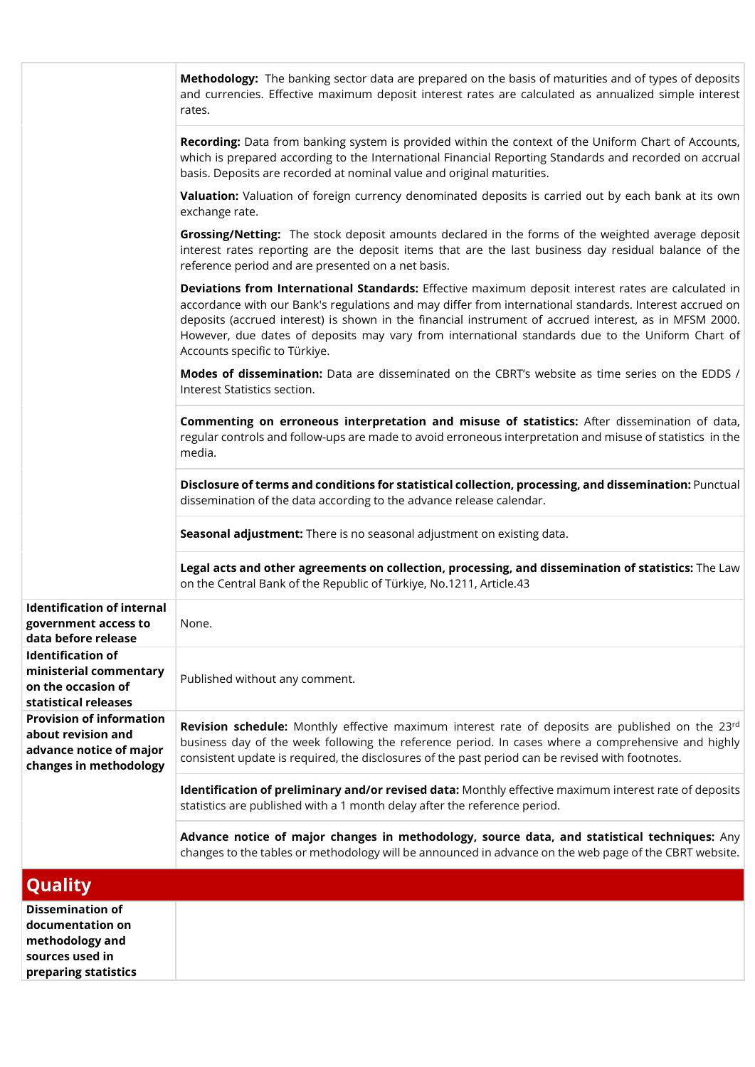|                                                                                                            | Methodology: The banking sector data are prepared on the basis of maturities and of types of deposits<br>and currencies. Effective maximum deposit interest rates are calculated as annualized simple interest<br>rates.                                                                                                                                                                                                                                      |
|------------------------------------------------------------------------------------------------------------|---------------------------------------------------------------------------------------------------------------------------------------------------------------------------------------------------------------------------------------------------------------------------------------------------------------------------------------------------------------------------------------------------------------------------------------------------------------|
|                                                                                                            | Recording: Data from banking system is provided within the context of the Uniform Chart of Accounts,<br>which is prepared according to the International Financial Reporting Standards and recorded on accrual<br>basis. Deposits are recorded at nominal value and original maturities.                                                                                                                                                                      |
|                                                                                                            | Valuation: Valuation of foreign currency denominated deposits is carried out by each bank at its own<br>exchange rate.                                                                                                                                                                                                                                                                                                                                        |
|                                                                                                            | Grossing/Netting: The stock deposit amounts declared in the forms of the weighted average deposit<br>interest rates reporting are the deposit items that are the last business day residual balance of the<br>reference period and are presented on a net basis.                                                                                                                                                                                              |
|                                                                                                            | Deviations from International Standards: Effective maximum deposit interest rates are calculated in<br>accordance with our Bank's regulations and may differ from international standards. Interest accrued on<br>deposits (accrued interest) is shown in the financial instrument of accrued interest, as in MFSM 2000.<br>However, due dates of deposits may vary from international standards due to the Uniform Chart of<br>Accounts specific to Türkiye. |
|                                                                                                            | Modes of dissemination: Data are disseminated on the CBRT's website as time series on the EDDS /<br>Interest Statistics section.                                                                                                                                                                                                                                                                                                                              |
|                                                                                                            | Commenting on erroneous interpretation and misuse of statistics: After dissemination of data,<br>regular controls and follow-ups are made to avoid erroneous interpretation and misuse of statistics in the<br>media.                                                                                                                                                                                                                                         |
|                                                                                                            | Disclosure of terms and conditions for statistical collection, processing, and dissemination: Punctual<br>dissemination of the data according to the advance release calendar.                                                                                                                                                                                                                                                                                |
|                                                                                                            | Seasonal adjustment: There is no seasonal adjustment on existing data.                                                                                                                                                                                                                                                                                                                                                                                        |
|                                                                                                            | Legal acts and other agreements on collection, processing, and dissemination of statistics: The Law<br>on the Central Bank of the Republic of Türkiye, No.1211, Article.43                                                                                                                                                                                                                                                                                    |
| <b>Identification of internal</b><br>government access to<br>data before release                           | None.                                                                                                                                                                                                                                                                                                                                                                                                                                                         |
| <b>Identification of</b><br>ministerial commentary<br>on the occasion of<br>statistical releases           | Published without any comment.                                                                                                                                                                                                                                                                                                                                                                                                                                |
| <b>Provision of information</b><br>about revision and<br>advance notice of major<br>changes in methodology | Revision schedule: Monthly effective maximum interest rate of deposits are published on the 23rd<br>business day of the week following the reference period. In cases where a comprehensive and highly<br>consistent update is required, the disclosures of the past period can be revised with footnotes.                                                                                                                                                    |
|                                                                                                            | Identification of preliminary and/or revised data: Monthly effective maximum interest rate of deposits<br>statistics are published with a 1 month delay after the reference period.                                                                                                                                                                                                                                                                           |
|                                                                                                            | Advance notice of major changes in methodology, source data, and statistical techniques: Any<br>changes to the tables or methodology will be announced in advance on the web page of the CBRT website.                                                                                                                                                                                                                                                        |
| Quality                                                                                                    |                                                                                                                                                                                                                                                                                                                                                                                                                                                               |
| <b>Dissemination of</b><br>documentation on<br>methodology and<br>sources used in<br>preparing statistics  |                                                                                                                                                                                                                                                                                                                                                                                                                                                               |